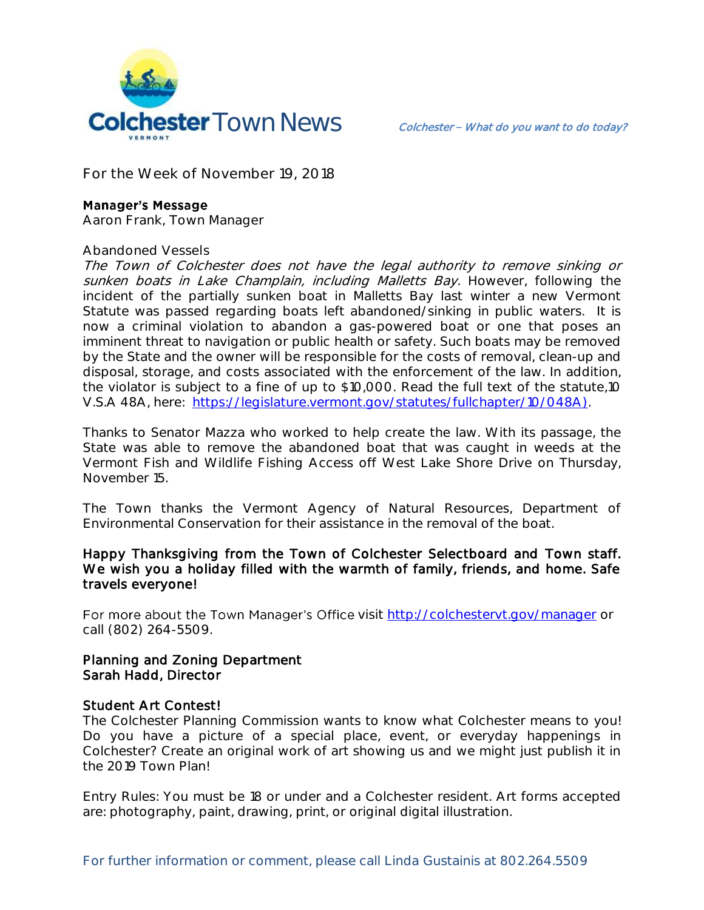

**For the Week of November 19, 2018**

### **Manager's Message**

**Aaron Frank, Town Manager**

#### **Abandoned Vessels**

The Town of Colchester does not have the legal authority to remove sinking or sunken boats in Lake Champlain, including Malletts Bay. However, following the incident of the partially sunken boat in Malletts Bay last winter a new Vermont Statute was passed regarding boats left abandoned/sinking in public waters. It is now a criminal violation to abandon a gas-powered boat or one that poses an imminent threat to navigation or public health or safety. Such boats may be removed by the State and the owner will be responsible for the costs of removal, clean-up and disposal, storage, and costs associated with the enforcement of the law. In addition, the violator is subject to a fine of up to \$10,000. Read the full text of the statute,10 V.S.A 48A, here: [https://legislature.vermont.gov/statutes/fullchapter/10/048A\)](https://legislature.vermont.gov/statutes/fullchapter/10/048A).

Thanks to Senator Mazza who worked to help create the law. With its passage, the State was able to remove the abandoned boat that was caught in weeds at the Vermont Fish and Wildlife Fishing Access off West Lake Shore Drive on Thursday, November 15.

The Town thanks the Vermont Agency of Natural Resources, Department of Environmental Conservation for their assistance in the removal of the boat.

## Happy Thanksgiving from the Town of Colchester Selectboard and Town staff. We wish you a holiday filled with the warmth of family, friends, and home. Safe travels everyone!

For more about the Town Manager's Office visit<http://colchestervt.gov/manager> or call (802) 264-5509.

## Planning and Zoning Department Sarah Hadd, Director

#### Student Art Contest!

The Colchester Planning Commission wants to know what Colchester means to you! Do you have a picture of a special place, event, or everyday happenings in Colchester? Create an original work of art showing us and we might just publish it in the 2019 Town Plan!

Entry Rules: You must be 18 or under and a Colchester resident. Art forms accepted are: photography, paint, drawing, print, or original digital illustration.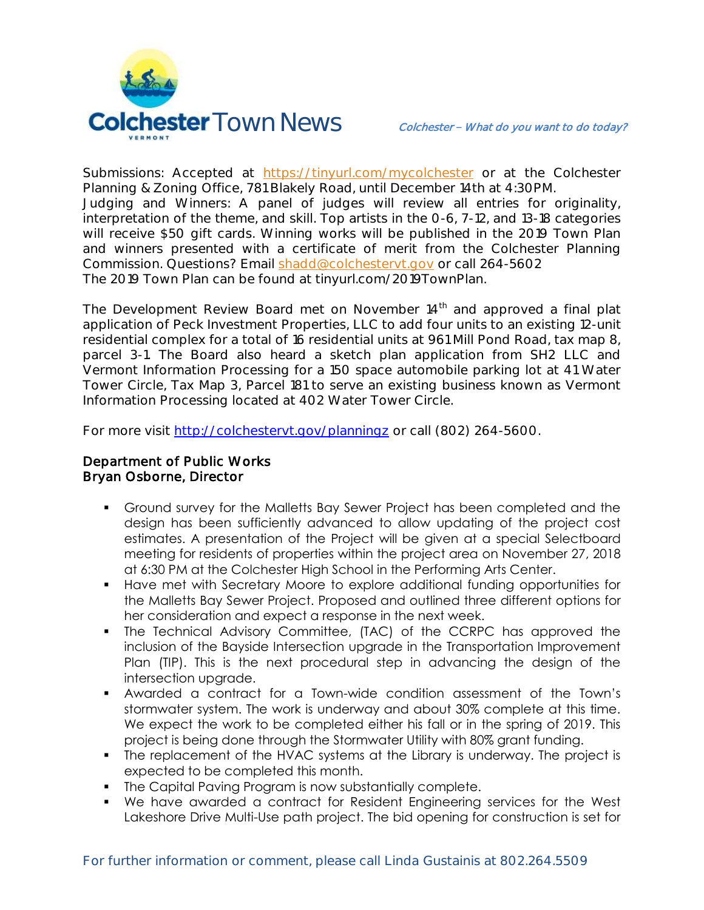

Submissions: Accepted at [https://tinyurl.com/mycolchester](https://t.frontporchforum.com/l/a4c245d145deb379666922f523b7924ce11cf2af/a0cd6c0c9918c5a50d82c95ae3d8b3a5987c40aa@t.frontporchforum.com/-/tinyurl.com/mycolchester) or at the Colchester Planning & Zoning Office, 781 Blakely Road, until December 14th at 4:30PM. Judging and Winners: A panel of judges will review all entries for originality, interpretation of the theme, and skill. Top artists in the 0-6, 7-12, and 13-18 categories will receive \$50 gift cards. Winning works will be published in the 2019 Town Plan and winners presented with a certificate of merit from the Colchester Planning Commission. Questions? Email [shadd@colchestervt.gov](mailto:shadd@colchestervt.gov) or call 264-5602 The 2019 Town Plan can be found at tinyurl.com/2019TownPlan.

The Development Review Board met on November  $14<sup>th</sup>$  and approved a final plat application of Peck Investment Properties, LLC to add four units to an existing 12-unit residential complex for a total of 16 residential units at 961 Mill Pond Road, tax map 8, parcel 3-1. The Board also heard a sketch plan application from SH2 LLC and Vermont Information Processing for a 150 space automobile parking lot at 41 Water Tower Circle, Tax Map 3, Parcel 181 to serve an existing business known as Vermont Information Processing located at 402 Water Tower Circle.

For more visit<http://colchestervt.gov/planningz> or call (802) 264-5600.

# Department of Public Works Bryan Osborne, Director

- Ground survey for the Malletts Bay Sewer Project has been completed and the design has been sufficiently advanced to allow updating of the project cost estimates. A presentation of the Project will be given at a special Selectboard meeting for residents of properties within the project area on November 27, 2018 at 6:30 PM at the Colchester High School in the Performing Arts Center.
- Have met with Secretary Moore to explore additional funding opportunities for the Malletts Bay Sewer Project. Proposed and outlined three different options for her consideration and expect a response in the next week.
- The Technical Advisory Committee, (TAC) of the CCRPC has approved the inclusion of the Bayside Intersection upgrade in the Transportation Improvement Plan (TIP). This is the next procedural step in advancing the design of the intersection upgrade.
- Awarded a contract for a Town-wide condition assessment of the Town's stormwater system. The work is underway and about 30% complete at this time. We expect the work to be completed either his fall or in the spring of 2019. This project is being done through the Stormwater Utility with 80% grant funding.
- The replacement of the HVAC systems at the Library is underway. The project is expected to be completed this month.
- **The Capital Paving Program is now substantially complete.**
- We have awarded a contract for Resident Engineering services for the West Lakeshore Drive Multi-Use path project. The bid opening for construction is set for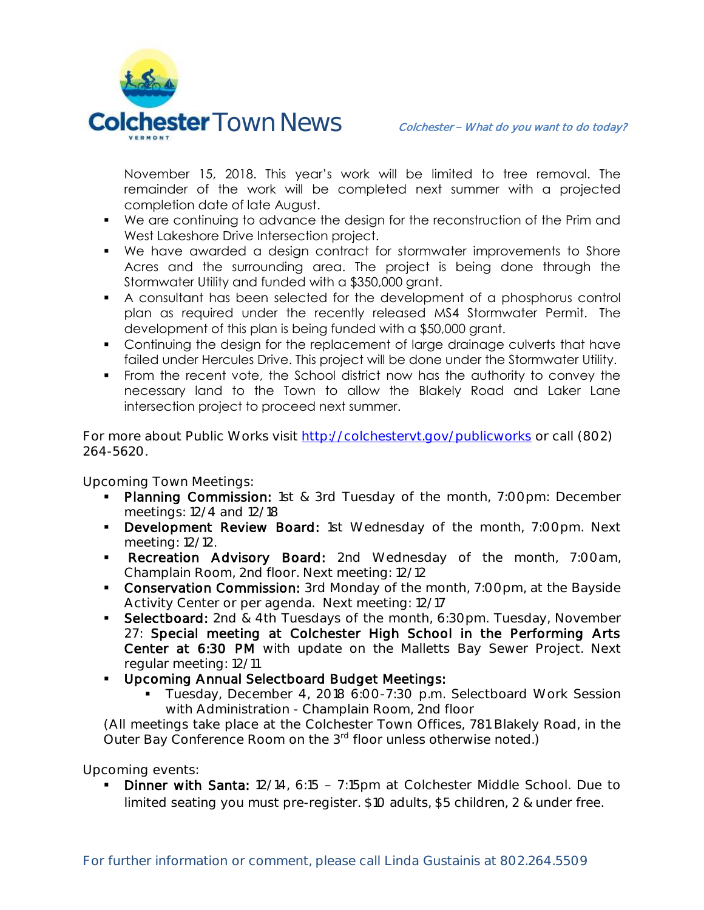

November 15, 2018. This year's work will be limited to tree removal. The remainder of the work will be completed next summer with a projected completion date of late August.

- We are continuing to advance the design for the reconstruction of the Prim and West Lakeshore Drive Intersection project.
- We have awarded a design contract for stormwater improvements to Shore Acres and the surrounding area. The project is being done through the Stormwater Utility and funded with a \$350,000 grant.
- A consultant has been selected for the development of a phosphorus control plan as required under the recently released MS4 Stormwater Permit. The development of this plan is being funded with a \$50,000 grant.
- Continuing the design for the replacement of large drainage culverts that have failed under Hercules Drive. This project will be done under the Stormwater Utility.
- From the recent vote, the School district now has the authority to convey the necessary land to the Town to allow the Blakely Road and Laker Lane intersection project to proceed next summer.

For more about Public Works visit<http://colchestervt.gov/publicworks> or call (802) 264-5620.

**Upcoming Town Meetings:** 

- Planning Commission: 1st & 3rd Tuesday of the month, 7:00pm: December meetings: 12/4 and 12/18
- Development Review Board: 1st Wednesday of the month, 7:00pm. Next meeting: 12/12.
- **Recreation Advisory Board:** 2nd Wednesday of the month, 7:00am, Champlain Room, 2nd floor. Next meeting: 12/12
- **Conservation Commission:** 3rd Monday of the month, 7:00pm, at the Bayside Activity Center or per agenda. Next meeting: 12/17
- Selectboard: 2nd & 4th Tuesdays of the month, 6:30pm. Tuesday, November 27: Special meeting at Colchester High School in the Performing Arts Center at 6:30 PM with update on the Malletts Bay Sewer Project. Next regular meeting: 12/11
- **Upcoming Annual Selectboard Budget Meetings:** 
	- Tuesday, December 4, 2018 6:00-7:30 p.m. Selectboard Work Session with Administration - Champlain Room, 2nd floor

(All meetings take place at the Colchester Town Offices, 781 Blakely Road, in the Outer Bay Conference Room on the 3<sup>rd</sup> floor unless otherwise noted.)

**Upcoming events:** 

 Dinner with Santa: 12/14, 6:15 7:15pm at Colchester Middle School. Due to limited seating you must pre-register. \$10 adults, \$5 children, 2 & under free.